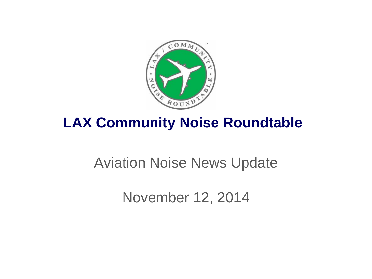

# **LAX Community Noise Roundtable**

# Aviation Noise News Update

November 12, 2014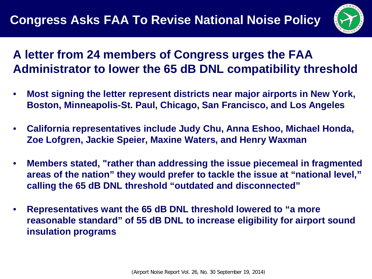

### **A letter from 24 members of Congress urges the FAA Administrator to lower the 65 dB DNL compatibility threshold**

- **Most signing the letter represent districts near major airports in New York, Boston, Minneapolis-St. Paul, Chicago, San Francisco, and Los Angeles**
- **California representatives include Judy Chu, Anna Eshoo, Michael Honda, Zoe Lofgren, Jackie Speier, Maxine Waters, and Henry Waxman**
- **Members stated, "rather than addressing the issue piecemeal in fragmented areas of the nation" they would prefer to tackle the issue at "national level," calling the 65 dB DNL threshold "outdated and disconnected"**
- **Representatives want the 65 dB DNL threshold lowered to "a more reasonable standard" of 55 dB DNL to increase eligibility for airport sound insulation programs**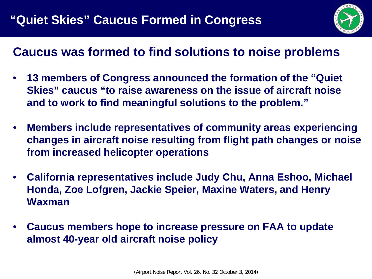

### **Caucus was formed to find solutions to noise problems**

- **13 members of Congress announced the formation of the "Quiet Skies" caucus "to raise awareness on the issue of aircraft noise and to work to find meaningful solutions to the problem."**
- **Members include representatives of community areas experiencing changes in aircraft noise resulting from flight path changes or noise from increased helicopter operations**
- **California representatives include Judy Chu, Anna Eshoo, Michael Honda, Zoe Lofgren, Jackie Speier, Maxine Waters, and Henry Waxman**
- **Caucus members hope to increase pressure on FAA to update almost 40-year old aircraft noise policy**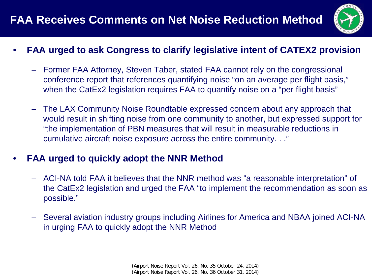### **FAA Receives Comments on Net Noise Reduction Method**



- **FAA urged to ask Congress to clarify legislative intent of CATEX2 provision**
	- Former FAA Attorney, Steven Taber, stated FAA cannot rely on the congressional conference report that references quantifying noise "on an average per flight basis," when the CatEx2 legislation requires FAA to quantify noise on a "per flight basis"
	- The LAX Community Noise Roundtable expressed concern about any approach that would result in shifting noise from one community to another, but expressed support for "the implementation of PBN measures that will result in measurable reductions in cumulative aircraft noise exposure across the entire community. . ."

#### • **FAA urged to quickly adopt the NNR Method**

- ACI-NA told FAA it believes that the NNR method was "a reasonable interpretation" of the CatEx2 legislation and urged the FAA "to implement the recommendation as soon as possible."
- Several aviation industry groups including Airlines for America and NBAA joined ACI-NA in urging FAA to quickly adopt the NNR Method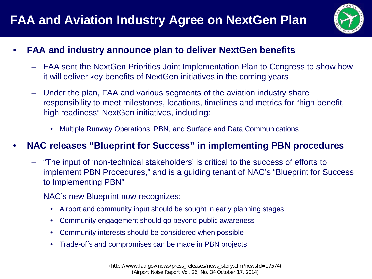

#### • **FAA and industry announce plan to deliver NextGen benefits**

- FAA sent the NextGen Priorities Joint Implementation Plan to Congress to show how it will deliver key benefits of NextGen initiatives in the coming years
- Under the plan, FAA and various segments of the aviation industry share responsibility to meet milestones, locations, timelines and metrics for "high benefit, high readiness" NextGen initiatives, including:
	- Multiple Runway Operations, PBN, and Surface and Data Communications

#### • **NAC releases "Blueprint for Success" in implementing PBN procedures"**

- "The input of 'non-technical stakeholders' is critical to the success of efforts to implement PBN Procedures," and is a guiding tenant of NAC's "Blueprint for Success to Implementing PBN"
- NAC's new Blueprint now recognizes:
	- Airport and community input should be sought in early planning stages
	- Community engagement should go beyond public awareness
	- Community interests should be considered when possible
	- Trade-offs and compromises can be made in PBN projects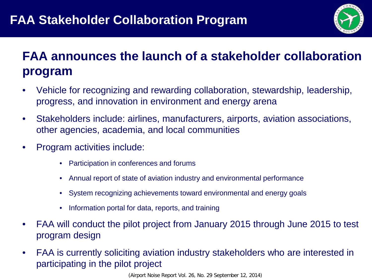

## **FAA announces the launch of a stakeholder collaboration program**

- Vehicle for recognizing and rewarding collaboration, stewardship, leadership, progress, and innovation in environment and energy arena
- Stakeholders include: airlines, manufacturers, airports, aviation associations, other agencies, academia, and local communities
- Program activities include:
	- Participation in conferences and forums
	- Annual report of state of aviation industry and environmental performance
	- System recognizing achievements toward environmental and energy goals
	- Information portal for data, reports, and training
- FAA will conduct the pilot project from January 2015 through June 2015 to test program design
- FAA is currently soliciting aviation industry stakeholders who are interested in participating in the pilot project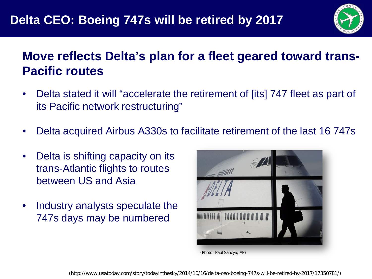

### **Move reflects Delta's plan for a fleet geared toward trans-Pacific routes**

- Delta stated it will "accelerate the retirement of [its] 747 fleet as part of its Pacific network restructuring"
- Delta acquired Airbus A330s to facilitate retirement of the last 16 747s
- Delta is shifting capacity on its trans-Atlantic flights to routes between US and Asia
- Industry analysts speculate the 747s days may be numbered



<sup>(</sup>Photo: Paul Sancya, AP)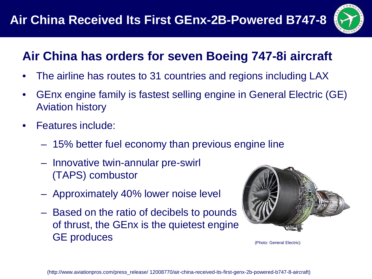

## **Air China has orders for seven Boeing 747-8i aircraft**

- The airline has routes to 31 countries and regions including LAX
- GEnx engine family is fastest selling engine in General Electric (GE) Aviation history
- Features include:
	- 15% better fuel economy than previous engine line
	- Innovative twin-annular pre-swirl (TAPS) combustor
	- Approximately 40% lower noise level
	- Based on the ratio of decibels to pounds of thrust, the GEnx is the quietest engine GE produces (Photo: General Electric)

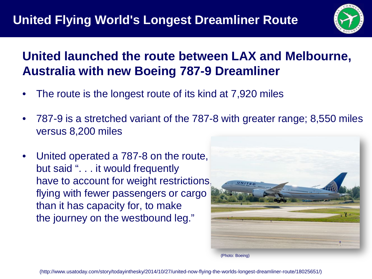

## **United launched the route between LAX and Melbourne, Australia with new Boeing 787-9 Dreamliner**

- The route is the longest route of its kind at 7,920 miles
- 787-9 is a stretched variant of the 787-8 with greater range; 8,550 miles versus 8,200 miles
- United operated a 787-8 on the route, but said ". . . it would frequently have to account for weight restrictions, flying with fewer passengers or cargo than it has capacity for, to make the journey on the westbound leg."



(Photo: Boeing)